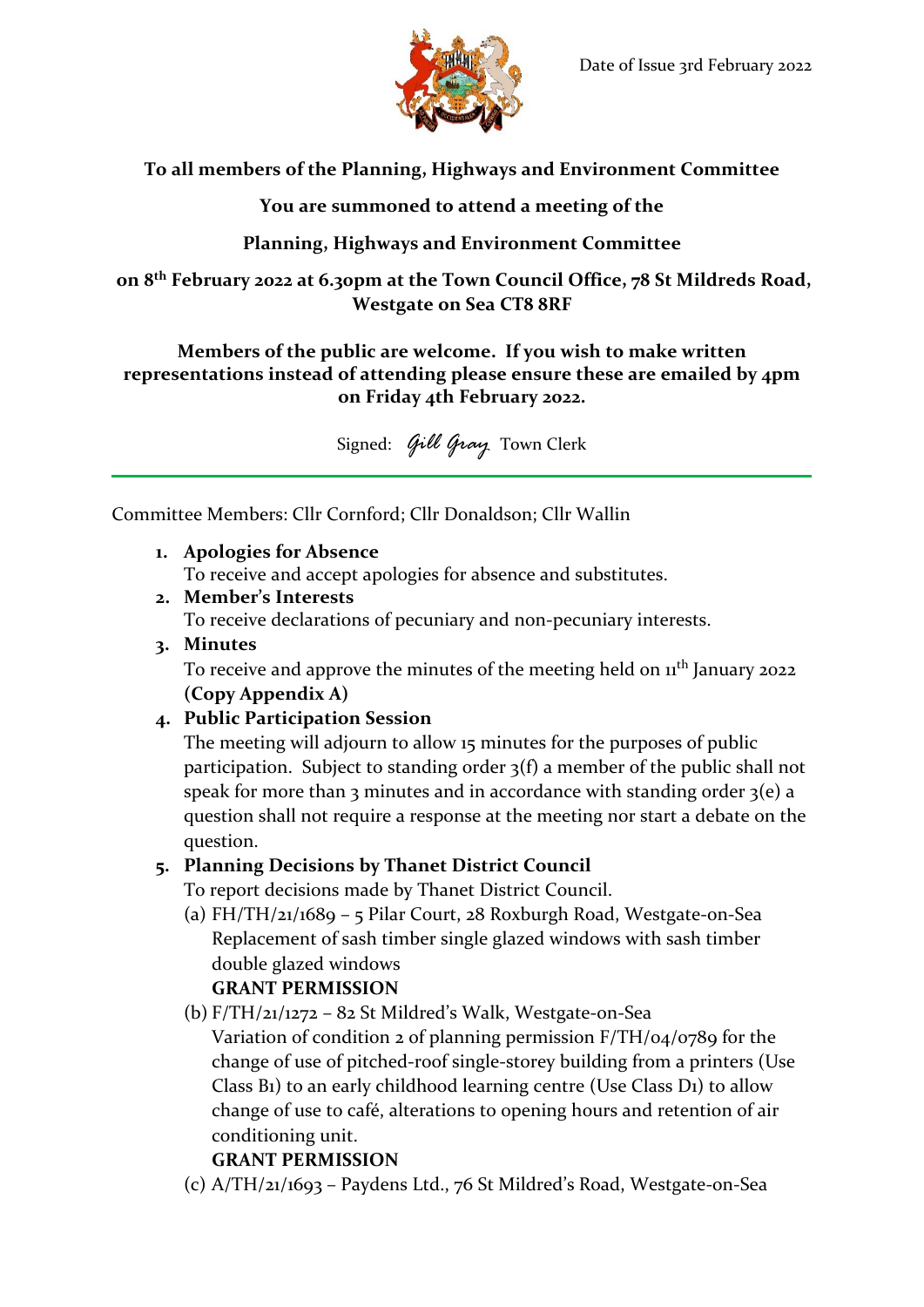

#### **To all members of the Planning, Highways and Environment Committee**

**You are summoned to attend a meeting of the**

## **Planning, Highways and Environment Committee**

**on 8th February 2022 at 6.30pm at the Town Council Office, 78 St Mildreds Road, Westgate on Sea CT8 8RF**

#### **Members of the public are welcome. If you wish to make written representations instead of attending please ensure these are emailed by 4pm on Friday 4th February 2022.**

Signed: *Gill Gray* Town Clerk

Committee Members: Cllr Cornford; Cllr Donaldson; Cllr Wallin

**1. Apologies for Absence**

To receive and accept apologies for absence and substitutes.

**2. Member's Interests**

To receive declarations of pecuniary and non-pecuniary interests.

**3. Minutes**

To receive and approve the minutes of the meeting held on  $11<sup>th</sup>$  January 2022 **(Copy Appendix A)**

## **4. Public Participation Session**

The meeting will adjourn to allow 15 minutes for the purposes of public participation. Subject to standing order 3(f) a member of the public shall not speak for more than 3 minutes and in accordance with standing order  $3(e)$  a question shall not require a response at the meeting nor start a debate on the question.

## **5. Planning Decisions by Thanet District Council**

To report decisions made by Thanet District Council.

(a) FH/TH/21/1689 – 5 Pilar Court, 28 Roxburgh Road, Westgate-on-Sea Replacement of sash timber single glazed windows with sash timber double glazed windows

# **GRANT PERMISSION**

(b)  $F/TH/21/1272 - 82$  St Mildred's Walk, Westgate-on-Sea Variation of condition 2 of planning permission F/TH/04/0789 for the change of use of pitched-roof single-storey building from a printers (Use Class B1) to an early childhood learning centre (Use Class D1) to allow change of use to café, alterations to opening hours and retention of air conditioning unit.

## **GRANT PERMISSION**

(c) A/TH/21/1693 – Paydens Ltd., 76 St Mildred's Road, Westgate-on-Sea